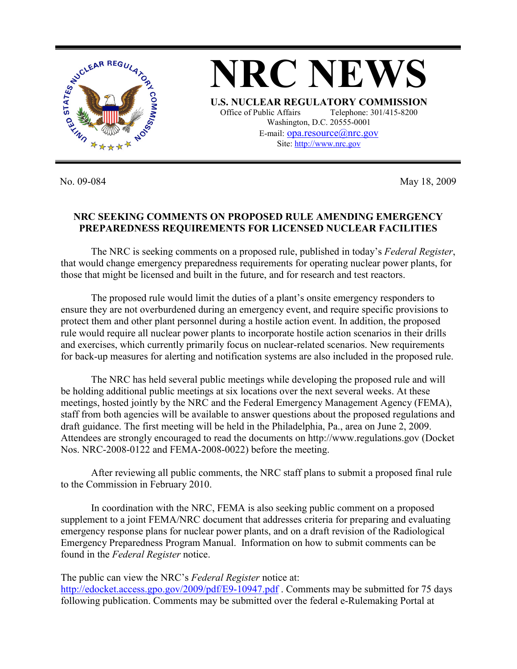

No. 09-084 May 18, 2009

## **NRC SEEKING COMMENTS ON PROPOSED RULE AMENDING EMERGENCY PREPAREDNESS REQUIREMENTS FOR LICENSED NUCLEAR FACILITIES**

The NRC is seeking comments on a proposed rule, published in today's *Federal Register*, that would change emergency preparedness requirements for operating nuclear power plants, for those that might be licensed and built in the future, and for research and test reactors.

The proposed rule would limit the duties of a plant's onsite emergency responders to ensure they are not overburdened during an emergency event, and require specific provisions to protect them and other plant personnel during a hostile action event. In addition, the proposed rule would require all nuclear power plants to incorporate hostile action scenarios in their drills and exercises, which currently primarily focus on nuclear-related scenarios. New requirements for back-up measures for alerting and notification systems are also included in the proposed rule.

The NRC has held several public meetings while developing the proposed rule and will be holding additional public meetings at six locations over the next several weeks. At these meetings, hosted jointly by the NRC and the Federal Emergency Management Agency (FEMA), staff from both agencies will be available to answer questions about the proposed regulations and draft guidance. The first meeting will be held in the Philadelphia, Pa., area on June 2, 2009. Attendees are strongly encouraged to read the documents on http://www.regulations.gov (Docket Nos. NRC-2008-0122 and FEMA-2008-0022) before the meeting.

After reviewing all public comments, the NRC staff plans to submit a proposed final rule to the Commission in February 2010.

In coordination with the NRC, FEMA is also seeking public comment on a proposed supplement to a joint FEMA/NRC document that addresses criteria for preparing and evaluating emergency response plans for nuclear power plants, and on a draft revision of the Radiological Emergency Preparedness Program Manual. Information on how to submit comments can be found in the *Federal Register* notice.

The public can view the NRC's *Federal Register* notice at: http://edocket.access.gpo.gov/2009/pdf/E9-10947.pdf . Comments may be submitted for 75 days following publication. Comments may be submitted over the federal e-Rulemaking Portal at